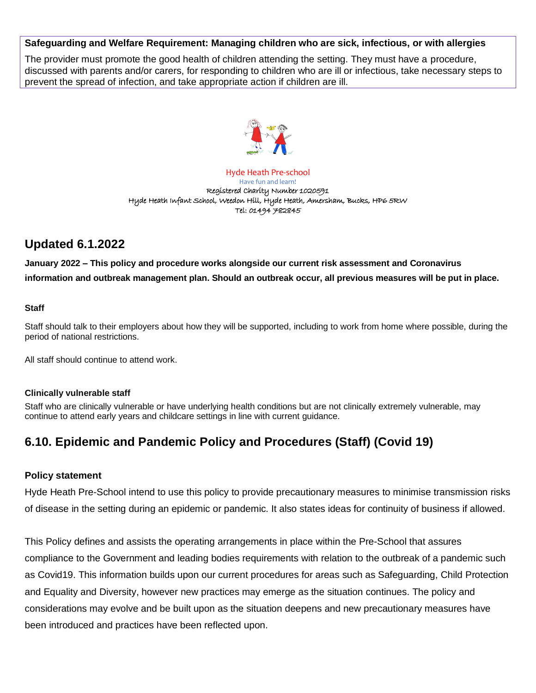#### **Safeguarding and Welfare Requirement: Managing children who are sick, infectious, or with allergies**

The provider must promote the good health of children attending the setting. They must have a procedure, discussed with parents and/or carers, for responding to children who are ill or infectious, take necessary steps to prevent the spread of infection, and take appropriate action if children are ill.



Hyde Heath Pre-school Have fun and learn! Registered Charity Number 1020591 Hyde Heath Infant School, Weedon Hill, Hyde Heath, Amersham, Bucks, HP6 5RW Tel: 01494 782845

# **Updated 6.1.2022**

**January 2022 – This policy and procedure works alongside our current risk assessment and Coronavirus information and outbreak management plan. Should an outbreak occur, all previous measures will be put in place.** 

#### **Staff**

Staff should talk to their employers about how they will be supported, including to work from home where possible, during the period of national restrictions.

All staff should continue to attend work.

#### **Clinically vulnerable staff**

Staff who are clinically vulnerable or have underlying health conditions but are not clinically extremely vulnerable, may continue to attend early years and childcare settings in line with current guidance.

# **6.10. Epidemic and Pandemic Policy and Procedures (Staff) (Covid 19)**

#### **Policy statement**

Hyde Heath Pre-School intend to use this policy to provide precautionary measures to minimise transmission risks of disease in the setting during an epidemic or pandemic. It also states ideas for continuity of business if allowed.

This Policy defines and assists the operating arrangements in place within the Pre-School that assures compliance to the Government and leading bodies requirements with relation to the outbreak of a pandemic such as Covid19. This information builds upon our current procedures for areas such as Safeguarding, Child Protection and Equality and Diversity, however new practices may emerge as the situation continues. The policy and considerations may evolve and be built upon as the situation deepens and new precautionary measures have been introduced and practices have been reflected upon.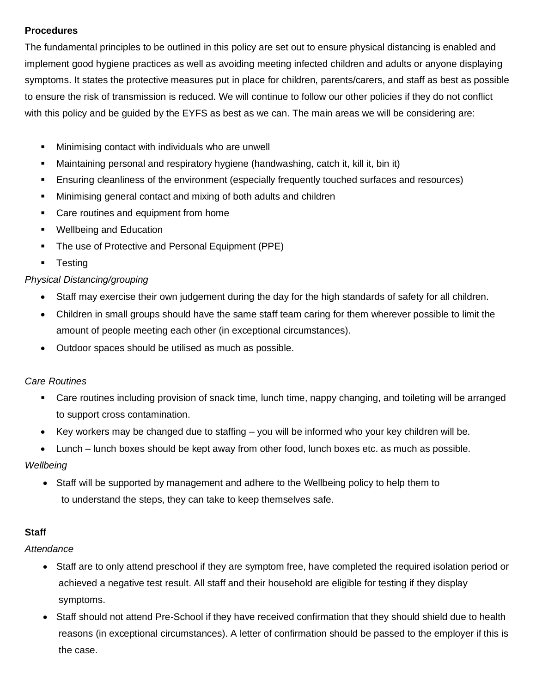# **Procedures**

The fundamental principles to be outlined in this policy are set out to ensure physical distancing is enabled and implement good hygiene practices as well as avoiding meeting infected children and adults or anyone displaying symptoms. It states the protective measures put in place for children, parents/carers, and staff as best as possible to ensure the risk of transmission is reduced. We will continue to follow our other policies if they do not conflict with this policy and be guided by the EYFS as best as we can. The main areas we will be considering are:

- **■** Minimising contact with individuals who are unwell
- **■** Maintaining personal and respiratory hygiene (handwashing, catch it, kill it, bin it)
- **E** Ensuring cleanliness of the environment (especially frequently touched surfaces and resources)
- **■** Minimising general contact and mixing of both adults and children
- Care routines and equipment from home
- Wellbeing and Education
- The use of Protective and Personal Equipment (PPE)
- Testing

# *Physical Distancing/grouping*

- Staff may exercise their own judgement during the day for the high standards of safety for all children.
- Children in small groups should have the same staff team caring for them wherever possible to limit the amount of people meeting each other (in exceptional circumstances).
- Outdoor spaces should be utilised as much as possible.

#### *Care Routines*

- Care routines including provision of snack time, lunch time, nappy changing, and toileting will be arranged to support cross contamination.
- Key workers may be changed due to staffing you will be informed who your key children will be.
- Lunch lunch boxes should be kept away from other food, lunch boxes etc. as much as possible.

#### *Wellbeing*

• Staff will be supported by management and adhere to the Wellbeing policy to help them to to understand the steps, they can take to keep themselves safe.

#### **Staff**

#### *Attendance*

- Staff are to only attend preschool if they are symptom free, have completed the required isolation period or achieved a negative test result. All staff and their household are eligible for testing if they display symptoms.
- Staff should not attend Pre-School if they have received confirmation that they should shield due to health reasons (in exceptional circumstances). A letter of confirmation should be passed to the employer if this is the case.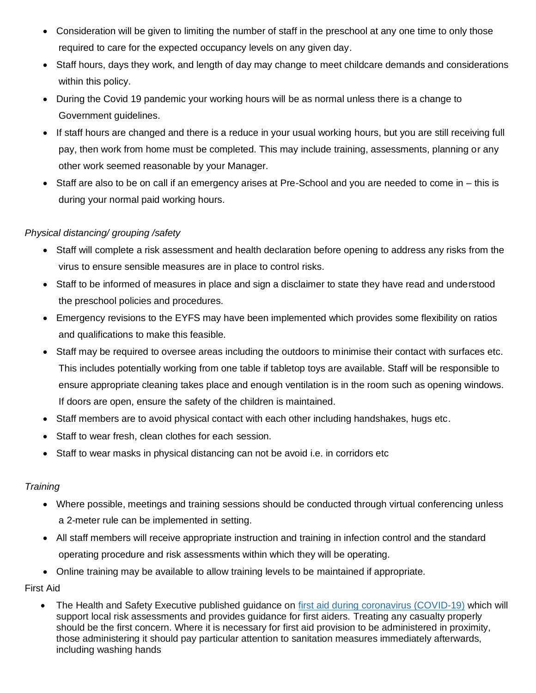- Consideration will be given to limiting the number of staff in the preschool at any one time to only those required to care for the expected occupancy levels on any given day.
- Staff hours, days they work, and length of day may change to meet childcare demands and considerations within this policy.
- During the Covid 19 pandemic your working hours will be as normal unless there is a change to Government guidelines.
- If staff hours are changed and there is a reduce in your usual working hours, but you are still receiving full pay, then work from home must be completed. This may include training, assessments, planning or any other work seemed reasonable by your Manager.
- Staff are also to be on call if an emergency arises at Pre-School and you are needed to come in this is during your normal paid working hours.

# *Physical distancing/ grouping /safety*

- Staff will complete a risk assessment and health declaration before opening to address any risks from the virus to ensure sensible measures are in place to control risks.
- Staff to be informed of measures in place and sign a disclaimer to state they have read and understood the preschool policies and procedures.
- Emergency revisions to the EYFS may have been implemented which provides some flexibility on ratios and qualifications to make this feasible.
- Staff may be required to oversee areas including the outdoors to minimise their contact with surfaces etc. This includes potentially working from one table if tabletop toys are available. Staff will be responsible to ensure appropriate cleaning takes place and enough ventilation is in the room such as opening windows. If doors are open, ensure the safety of the children is maintained.
- Staff members are to avoid physical contact with each other including handshakes, hugs etc.
- Staff to wear fresh, clean clothes for each session.
- Staff to wear masks in physical distancing can not be avoid i.e. in corridors etc

#### *Training*

- Where possible, meetings and training sessions should be conducted through virtual conferencing unless a 2-meter rule can be implemented in setting.
- All staff members will receive appropriate instruction and training in infection control and the standard operating procedure and risk assessments within which they will be operating.
- Online training may be available to allow training levels to be maintained if appropriate.

First Aid

• The Health and Safety Executive published guidance on first aid during coronavirus [\(COVID-19\)](https://eur03.safelinks.protection.outlook.com/?url=https%3A%2F%2Fwww.hse.gov.uk%2Fcoronavirus%2Ffirst-aid-and-medicals%2Ffirst-aid-certificate-coronavirus.htm&data=02%7C01%7Cearlyyears%40buckinghamshire.gov.uk%7C5173059d959d48466f9d08d85fde7ab4%7C7fb976b99e2848e180861ddabecf82a0%7C0%7C0%7C637364756452616382&sdata=fRh3bIKQ3Qq%2Bqr3jtbasiVNotu470gjfjJk7DFftmJE%3D&reserved=0) which will support local risk assessments and provides guidance for first aiders. Treating any casualty properly should be the first concern. Where it is necessary for first aid provision to be administered in proximity, those administering it should pay particular attention to sanitation measures immediately afterwards, including washing hands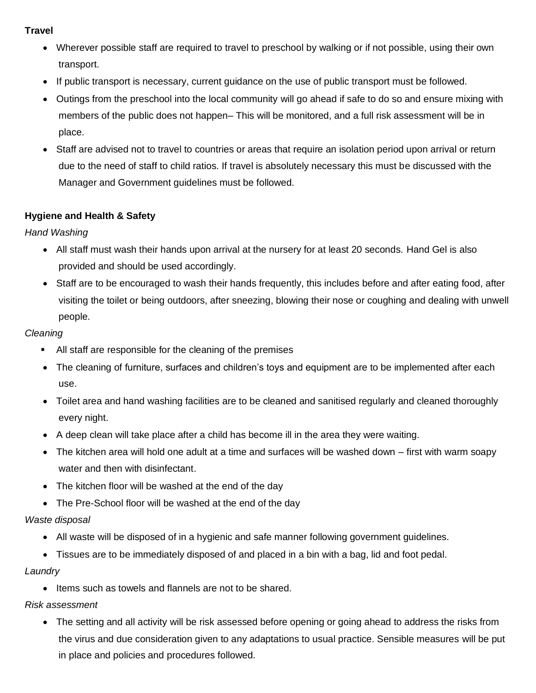#### **Travel**

- Wherever possible staff are required to travel to preschool by walking or if not possible, using their own transport.
- If public transport is necessary, current guidance on the use of public transport must be followed.
- Outings from the preschool into the local community will go ahead if safe to do so and ensure mixing with members of the public does not happen– This will be monitored, and a full risk assessment will be in place.
- Staff are advised not to travel to countries or areas that require an isolation period upon arrival or return due to the need of staff to child ratios. If travel is absolutely necessary this must be discussed with the Manager and Government guidelines must be followed.

# **Hygiene and Health & Safety**

*Hand Washing* 

- All staff must wash their hands upon arrival at the nursery for at least 20 seconds. Hand Gel is also provided and should be used accordingly.
- Staff are to be encouraged to wash their hands frequently, this includes before and after eating food, after visiting the toilet or being outdoors, after sneezing, blowing their nose or coughing and dealing with unwell people.

#### *Cleaning*

- All staff are responsible for the cleaning of the premises
- The cleaning of furniture, surfaces and children's toys and equipment are to be implemented after each use.
- Toilet area and hand washing facilities are to be cleaned and sanitised regularly and cleaned thoroughly every night.
- A deep clean will take place after a child has become ill in the area they were waiting.
- The kitchen area will hold one adult at a time and surfaces will be washed down first with warm soapy water and then with disinfectant.
- The kitchen floor will be washed at the end of the day
- The Pre-School floor will be washed at the end of the day

#### *Waste disposal*

- All waste will be disposed of in a hygienic and safe manner following government guidelines.
- Tissues are to be immediately disposed of and placed in a bin with a bag, lid and foot pedal.

#### *Laundry*

• Items such as towels and flannels are not to be shared.

#### *Risk assessment*

• The setting and all activity will be risk assessed before opening or going ahead to address the risks from the virus and due consideration given to any adaptations to usual practice. Sensible measures will be put in place and policies and procedures followed.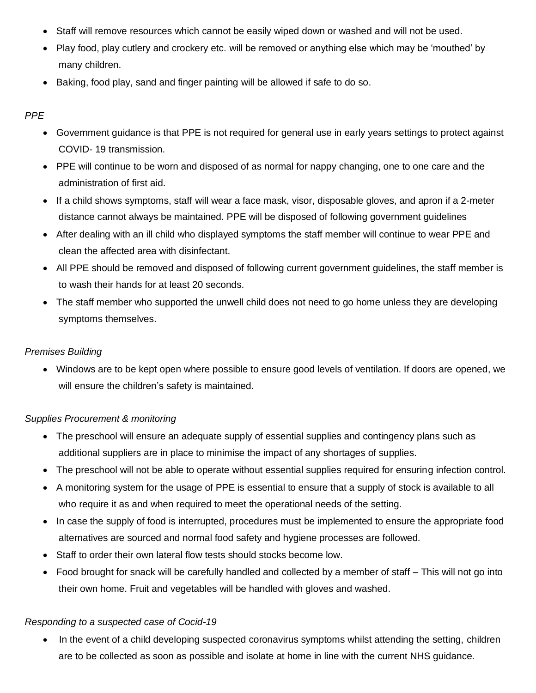- Staff will remove resources which cannot be easily wiped down or washed and will not be used.
- Play food, play cutlery and crockery etc. will be removed or anything else which may be 'mouthed' by many children.
- Baking, food play, sand and finger painting will be allowed if safe to do so.

# *PPE*

- Government guidance is that PPE is not required for general use in early years settings to protect against COVID- 19 transmission.
- PPE will continue to be worn and disposed of as normal for nappy changing, one to one care and the administration of first aid.
- If a child shows symptoms, staff will wear a face mask, visor, disposable gloves, and apron if a 2-meter distance cannot always be maintained. PPE will be disposed of following government guidelines
- After dealing with an ill child who displayed symptoms the staff member will continue to wear PPE and clean the affected area with disinfectant.
- All PPE should be removed and disposed of following current government guidelines, the staff member is to wash their hands for at least 20 seconds.
- The staff member who supported the unwell child does not need to go home unless they are developing symptoms themselves.

#### *Premises Building*

• Windows are to be kept open where possible to ensure good levels of ventilation. If doors are opened, we will ensure the children's safety is maintained.

#### *Supplies Procurement & monitoring*

- The preschool will ensure an adequate supply of essential supplies and contingency plans such as additional suppliers are in place to minimise the impact of any shortages of supplies.
- The preschool will not be able to operate without essential supplies required for ensuring infection control.
- A monitoring system for the usage of PPE is essential to ensure that a supply of stock is available to all who require it as and when required to meet the operational needs of the setting.
- In case the supply of food is interrupted, procedures must be implemented to ensure the appropriate food alternatives are sourced and normal food safety and hygiene processes are followed.
- Staff to order their own lateral flow tests should stocks become low.
- Food brought for snack will be carefully handled and collected by a member of staff This will not go into their own home. Fruit and vegetables will be handled with gloves and washed.

#### *Responding to a suspected case of Cocid-19*

In the event of a child developing suspected coronavirus symptoms whilst attending the setting, children are to be collected as soon as possible and isolate at home in line with the current NHS guidance.